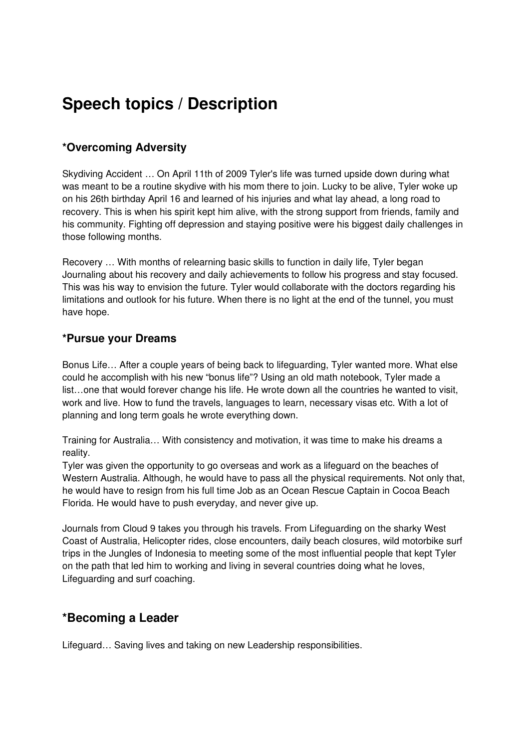# **Speech topics / Description**

# **\*Overcoming Adversity**

Skydiving Accident … On April 11th of 2009 Tyler's life was turned upside down during what was meant to be a routine skydive with his mom there to join. Lucky to be alive, Tyler woke up on his 26th birthday April 16 and learned of his injuries and what lay ahead, a long road to recovery. This is when his spirit kept him alive, with the strong support from friends, family and his community. Fighting off depression and staying positive were his biggest daily challenges in those following months.

Recovery … With months of relearning basic skills to function in daily life, Tyler began Journaling about his recovery and daily achievements to follow his progress and stay focused. This was his way to envision the future. Tyler would collaborate with the doctors regarding his limitations and outlook for his future. When there is no light at the end of the tunnel, you must have hope.

## **\*Pursue your Dreams**

Bonus Life… After a couple years of being back to lifeguarding, Tyler wanted more. What else could he accomplish with his new "bonus life"? Using an old math notebook, Tyler made a list…one that would forever change his life. He wrote down all the countries he wanted to visit, work and live. How to fund the travels, languages to learn, necessary visas etc. With a lot of planning and long term goals he wrote everything down.

Training for Australia… With consistency and motivation, it was time to make his dreams a reality.

Tyler was given the opportunity to go overseas and work as a lifeguard on the beaches of Western Australia. Although, he would have to pass all the physical requirements. Not only that, he would have to resign from his full time Job as an Ocean Rescue Captain in Cocoa Beach Florida. He would have to push everyday, and never give up.

Journals from Cloud 9 takes you through his travels. From Lifeguarding on the sharky West Coast of Australia, Helicopter rides, close encounters, daily beach closures, wild motorbike surf trips in the Jungles of Indonesia to meeting some of the most influential people that kept Tyler on the path that led him to working and living in several countries doing what he loves, Lifeguarding and surf coaching.

## **\*Becoming a Leader**

Lifeguard… Saving lives and taking on new Leadership responsibilities.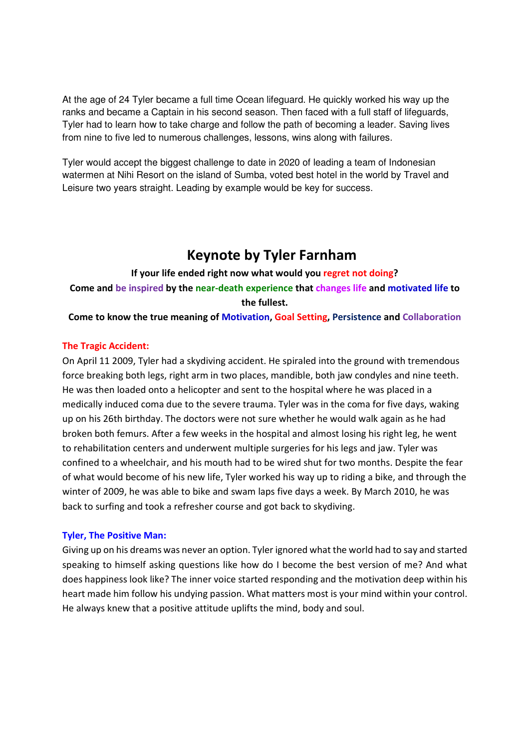At the age of 24 Tyler became a full time Ocean lifeguard. He quickly worked his way up the ranks and became a Captain in his second season. Then faced with a full staff of lifeguards, Tyler had to learn how to take charge and follow the path of becoming a leader. Saving lives from nine to five led to numerous challenges, lessons, wins along with failures.

Tyler would accept the biggest challenge to date in 2020 of leading a team of Indonesian watermen at Nihi Resort on the island of Sumba, voted best hotel in the world by Travel and Leisure two years straight. Leading by example would be key for success.

# **Keynote by Tyler Farnham**

# **If your life ended right now what would you regret not doing? Come and be inspired by the near-death experience that changes life and motivated life to the fullest.**

**Come to know the true meaning of Motivation, Goal Setting, Persistence and Collaboration**

#### **The Tragic Accident:**

On April 11 2009, Tyler had a skydiving accident. He spiraled into the ground with tremendous force breaking both legs, right arm in two places, mandible, both jaw condyles and nine teeth. He was then loaded onto a helicopter and sent to the hospital where he was placed in a medically induced coma due to the severe trauma. Tyler was in the coma for five days, waking up on his 26th birthday. The doctors were not sure whether he would walk again as he had broken both femurs. After a few weeks in the hospital and almost losing his right leg, he went to rehabilitation centers and underwent multiple surgeries for his legs and jaw. Tyler was confined to a wheelchair, and his mouth had to be wired shut for two months. Despite the fear of what would become of his new life, Tyler worked his way up to riding a bike, and through the winter of 2009, he was able to bike and swam laps five days a week. By March 2010, he was back to surfing and took a refresher course and got back to skydiving.

#### **Tyler, The Positive Man:**

Giving up on his dreams was never an option. Tyler ignored what the world had to say and started speaking to himself asking questions like how do I become the best version of me? And what does happiness look like? The inner voice started responding and the motivation deep within his heart made him follow his undying passion. What matters most is your mind within your control. He always knew that a positive attitude uplifts the mind, body and soul.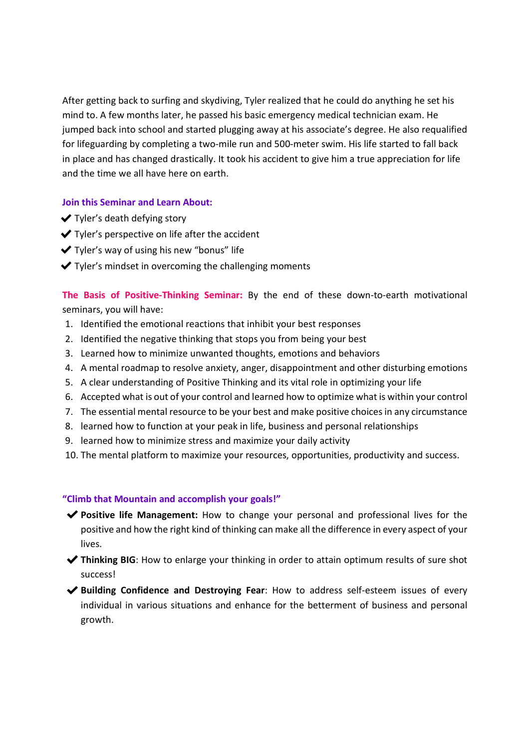After getting back to surfing and skydiving, Tyler realized that he could do anything he set his mind to. A few months later, he passed his basic emergency medical technician exam. He jumped back into school and started plugging away at his associate's degree. He also requalified for lifeguarding by completing a two-mile run and 500-meter swim. His life started to fall back in place and has changed drastically. It took his accident to give him a true appreciation for life and the time we all have here on earth.

#### **Join this Seminar and Learn About:**

- ✔Tyler's death defying story
- $\blacktriangleright$  Tyler's perspective on life after the accident
- $\blacktriangleright$  Tyler's way of using his new "bonus" life
- $\blacktriangleright$  Tyler's mindset in overcoming the challenging moments

**The Basis of Positive-Thinking Seminar:** By the end of these down-to-earth motivational seminars, you will have:

- 1. Identified the emotional reactions that inhibit your best responses
- 2. Identified the negative thinking that stops you from being your best
- 3. Learned how to minimize unwanted thoughts, emotions and behaviors
- 4. A mental roadmap to resolve anxiety, anger, disappointment and other disturbing emotions
- 5. A clear understanding of Positive Thinking and its vital role in optimizing your life
- 6. Accepted what is out of your control and learned how to optimize what is within your control
- 7. The essential mental resource to be your best and make positive choices in any circumstance
- 8. learned how to function at your peak in life, business and personal relationships
- 9. learned how to minimize stress and maximize your daily activity
- 10. The mental platform to maximize your resources, opportunities, productivity and success.

#### **"Climb that Mountain and accomplish your goals!"**

- ✔**Positive life Management:** How to change your personal and professional lives for the positive and how the right kind of thinking can make all the difference in every aspect of your lives.
- ◆ Thinking BIG: How to enlarge your thinking in order to attain optimum results of sure shot success!
- ◆ Building Confidence and Destroying Fear: How to address self-esteem issues of every individual in various situations and enhance for the betterment of business and personal growth.